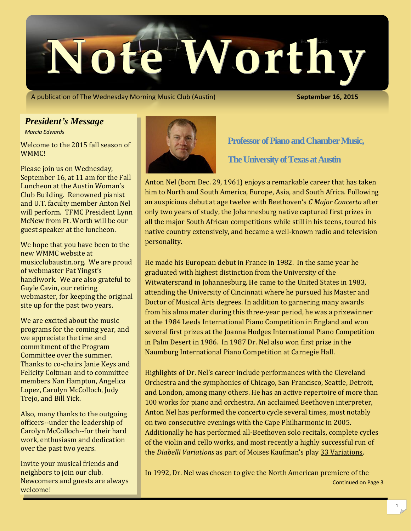

A publication of The Wednesday Morning Music Club (Austin) **September 16, 2015**

#### *President's Message*

*Marcia Edwards*

Welcome to the 2015 fall season of WMMC!

Please join us on Wednesday, September 16, at 11 am for the Fall Luncheon at the Austin Woman's Club Building. Renowned pianist and U.T. faculty member Anton Nel will perform. TFMC President Lynn McNew from Ft. Worth will be our guest speaker at the luncheon.

We hope that you have been to the new WMMC website at musicclubaustin.org. We are proud of webmaster Pat Yingst's handiwork. We are also grateful to Guyle Cavin, our retiring webmaster, for keeping the original site up for the past two years.

We are excited about the music programs for the coming year, and we appreciate the time and commitment of the Program Committee over the summer. Thanks to co-chairs Janie Keys and Felicity Coltman and to committee members Nan Hampton, Angelica Lopez, Carolyn McColloch, Judy Trejo, and Bill Yick.

Also, many thanks to the outgoing officers--under the leadership of Carolyn McColloch--for their hard work, enthusiasm and dedication over the past two years.

Invite your musical friends and neighbors to join our club. Newcomers and guests are always welcome!



**Professor of Piano and Chamber Music,** 

**The University of Texas at Austin**

Anton Nel (born Dec. 29, 1961) enjoys a remarkable career that has taken him to North and South America, Europe, Asia, and South Africa. Following an auspicious debut at age twelve with Beethoven's *C Major Concerto* after only two years of study, the Johannesburg native captured first prizes in all the major South African competitions while still in his teens, toured his native country extensively, and became a well-known radio and television personality.

He made his European debut in France in 1982. In the same year he graduated with highest distinction from the University of the Witwatersrand in Johannesburg. He came to the United States in 1983, attending the University of Cincinnati where he pursued his Master and Doctor of Musical Arts degrees. In addition to garnering many awards from his alma mater during this three-year period, he was a prizewinner at the 1984 Leeds International Piano Competition in England and won several first prizes at the Joanna Hodges International Piano Competition in Palm Desert in 1986. In 1987 Dr. Nel also won first prize in the Naumburg International Piano Competition at Carnegie Hall.

Highlights of Dr. Nel's career include performances with the Cleveland Orchestra and the symphonies of Chicago, San Francisco, Seattle, Detroit, and London, among many others. He has an active repertoire of more than 100 works for piano and orchestra. An acclaimed Beethoven interpreter, Anton Nel has performed the concerto cycle several times, most notably on two consecutive evenings with the Cape Philharmonic in 2005. Additionally he has performed all-Beethoven solo recitals, complete cycles of the violin and cello works, and most recently a highly successful run of the *Diabelli Variations* as part of Moises Kaufman's play 33 Variations.

Continued on Page 3 In 1992, Dr. Nel was chosen to give the North American premiere of the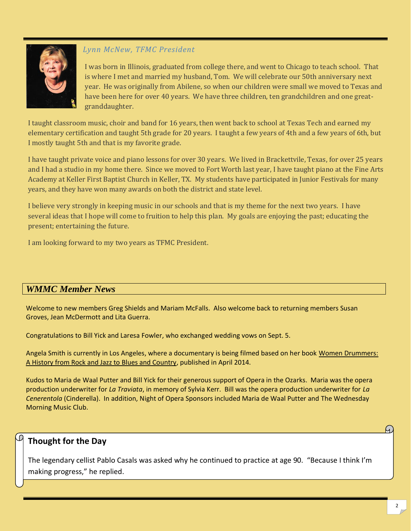

### *Lynn McNew, TFMC President*

 I was born in Illinois, graduated from college there, and went to Chicago to teach school. That is where I met and married my husband, Tom. We will celebrate our 50th anniversary next year. He was originally from Abilene, so when our children were small we moved to Texas and have been here for over 40 years. We have three children, ten grandchildren and one great granddaughter.

I taught classroom music, choir and band for 16 years, then went back to school at Texas Tech and earned my elementary certification and taught 5th grade for 20 years. I taught a few years of 4th and a few years of 6th, but I mostly taught 5th and that is my favorite grade.

I have taught private voice and piano lessons for over 30 years. We lived in Brackettvile, Texas, for over 25 years and I had a studio in my home there. Since we moved to Fort Worth last year, I have taught piano at the Fine Arts Academy at Keller First Baptist Church in Keller, TX. My students have participated in Junior Festivals for many years, and they have won many awards on both the district and state level.

I believe very strongly in keeping music in our schools and that is my theme for the next two years. I have several ideas that I hope will come to fruition to help this plan. My goals are enjoying the past; educating the present; entertaining the future.

I am looking forward to my two years as TFMC President.

# *WMMC Member News*

Welcome to new members Greg Shields and Mariam McFalls. Also welcome back to returning members Susan Groves, Jean McDermott and Lita Guerra.

Congratulations to Bill Yick and Laresa Fowler, who exchanged wedding vows on Sept. 5.

Angela Smith is currently in Los Angeles, where a documentary is being filmed based on her book Women Drummers: A History from Rock and Jazz to Blues and Country, published in April 2014.

Kudos to Maria de Waal Putter and Bill Yick for their generous support of Opera in the Ozarks. Maria was the opera production underwriter for *La Traviata*, in memory of Sylvia Kerr. Bill was the opera production underwriter for *La Cenerentola* (Cinderella). In addition, Night of Opera Sponsors included Maria de Waal Putter and The Wednesday Morning Music Club.

# **Thought for the Day**

The legendary cellist Pablo Casals was asked why he continued to practice at age 90. "Because I think I'm making progress," he replied.